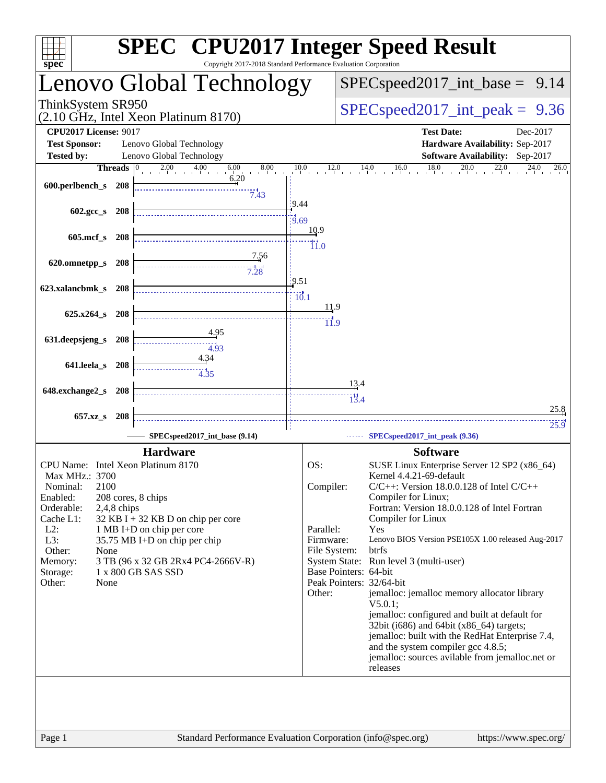| spec <sup>®</sup>                                                            |                |                                                            | Copyright 2017-2018 Standard Performance Evaluation Corporation |                          |                        |                      | <b>SPEC<sup>®</sup></b> CPU2017 Integer Speed Result                                              |  |  |  |
|------------------------------------------------------------------------------|----------------|------------------------------------------------------------|-----------------------------------------------------------------|--------------------------|------------------------|----------------------|---------------------------------------------------------------------------------------------------|--|--|--|
| Lenovo Global Technology                                                     |                |                                                            |                                                                 |                          |                        |                      | $SPEC speed2017\_int\_base = 9.14$                                                                |  |  |  |
| ThinkSystem SR950<br>(2.10 GHz, Intel Xeon Platinum 8170)                    |                |                                                            |                                                                 |                          |                        |                      | $SPEC speed2017\_int\_peak = 9.36$                                                                |  |  |  |
| <b>CPU2017 License: 9017</b>                                                 |                |                                                            |                                                                 |                          |                        |                      | <b>Test Date:</b><br>Dec-2017                                                                     |  |  |  |
| <b>Test Sponsor:</b><br>Lenovo Global Technology<br>Lenovo Global Technology |                |                                                            |                                                                 |                          |                        |                      | Hardware Availability: Sep-2017<br>Software Availability: Sep-2017                                |  |  |  |
| <b>Tested by:</b>                                                            | <b>Threads</b> |                                                            | 8.00<br>$2.00 \t\t 4.00 \t\t 6.00$                              | 10.0                     |                        |                      | $12.0$ $14.0$ $16.0$ $18.0$ $20.0$<br>22.0<br>24.0<br>26.0                                        |  |  |  |
| 600.perlbench_s 208                                                          |                |                                                            | 6.20<br>7.43                                                    |                          |                        |                      |                                                                                                   |  |  |  |
| 602.gcc_s                                                                    | - 208          |                                                            |                                                                 | 9.44<br>$\frac{1}{9.69}$ |                        |                      |                                                                                                   |  |  |  |
| $605$ .mcf_s                                                                 | <b>208</b>     |                                                            |                                                                 |                          | 10.9<br>$\ddot{11.0}$  |                      |                                                                                                   |  |  |  |
| 620.omnetpp_s 208                                                            |                |                                                            | <u>7.56</u>                                                     |                          |                        |                      |                                                                                                   |  |  |  |
| 623.xalancbmk_s 208                                                          |                |                                                            |                                                                 | 9.51<br>$\frac{1}{10.1}$ |                        |                      |                                                                                                   |  |  |  |
| $625.x264$ s 208                                                             |                |                                                            |                                                                 |                          | 11.9<br>$\dddot{11.9}$ |                      |                                                                                                   |  |  |  |
| 631.deepsjeng_s                                                              | 208            |                                                            | 4.95<br>4.93                                                    |                          |                        |                      |                                                                                                   |  |  |  |
| 641.leela_s                                                                  | 208            |                                                            | 4.34                                                            |                          |                        |                      |                                                                                                   |  |  |  |
| 648.exchange2_s                                                              | -208           |                                                            |                                                                 |                          |                        | <u>13</u> .4<br>13.4 |                                                                                                   |  |  |  |
| 657.xz_s 208                                                                 |                |                                                            |                                                                 |                          |                        |                      | 25.8                                                                                              |  |  |  |
|                                                                              |                |                                                            | SPECspeed2017 int base (9.14)                                   |                          |                        |                      | 25.9<br>SPECspeed2017_int_peak (9.36)                                                             |  |  |  |
|                                                                              |                | <b>Hardware</b>                                            |                                                                 |                          |                        |                      | <b>Software</b>                                                                                   |  |  |  |
| CPU Name: Intel Xeon Platinum 8170<br>Max MHz.: 3700                         |                |                                                            |                                                                 |                          | OS:                    |                      | SUSE Linux Enterprise Server 12 SP2 (x86_64)<br>Kernel 4.4.21-69-default                          |  |  |  |
| 2100<br>Nominal:                                                             |                |                                                            |                                                                 |                          | Compiler:              |                      | $C/C++$ : Version 18.0.0.128 of Intel $C/C++$                                                     |  |  |  |
| Enabled:<br>Orderable:                                                       | $2,4,8$ chips  | 208 cores, 8 chips                                         |                                                                 |                          |                        |                      | Compiler for Linux;<br>Fortran: Version 18.0.0.128 of Intel Fortran                               |  |  |  |
| Cache L1:                                                                    |                | $32$ KB I + 32 KB D on chip per core                       |                                                                 |                          |                        |                      | Compiler for Linux                                                                                |  |  |  |
| $L2$ :<br>$L3$ :                                                             |                | 1 MB I+D on chip per core<br>35.75 MB I+D on chip per chip |                                                                 |                          | Parallel:<br>Firmware: |                      | Yes<br>Lenovo BIOS Version PSE105X 1.00 released Aug-2017                                         |  |  |  |
| Other:<br>None                                                               |                |                                                            |                                                                 |                          | File System:           |                      | btrfs                                                                                             |  |  |  |
| Memory:                                                                      |                |                                                            | 3 TB (96 x 32 GB 2Rx4 PC4-2666V-R)                              |                          |                        |                      | System State: Run level 3 (multi-user)                                                            |  |  |  |
| Storage:                                                                     |                | 1 x 800 GB SAS SSD                                         |                                                                 |                          | Base Pointers: 64-bit  |                      | Peak Pointers: 32/64-bit                                                                          |  |  |  |
| None<br>Other:                                                               |                |                                                            |                                                                 |                          | Other:                 |                      | jemalloc: jemalloc memory allocator library<br>$V5.0.1$ :                                         |  |  |  |
|                                                                              |                |                                                            |                                                                 |                          |                        |                      | jemalloc: configured and built at default for<br>32bit (i686) and 64bit (x86_64) targets;         |  |  |  |
|                                                                              |                |                                                            |                                                                 |                          |                        |                      | jemalloc: built with the RedHat Enterprise 7.4,                                                   |  |  |  |
|                                                                              |                |                                                            |                                                                 |                          |                        |                      | and the system compiler gcc 4.8.5;<br>jemalloc: sources avilable from jemalloc.net or<br>releases |  |  |  |
|                                                                              |                |                                                            |                                                                 |                          |                        |                      |                                                                                                   |  |  |  |
|                                                                              |                |                                                            |                                                                 |                          |                        |                      |                                                                                                   |  |  |  |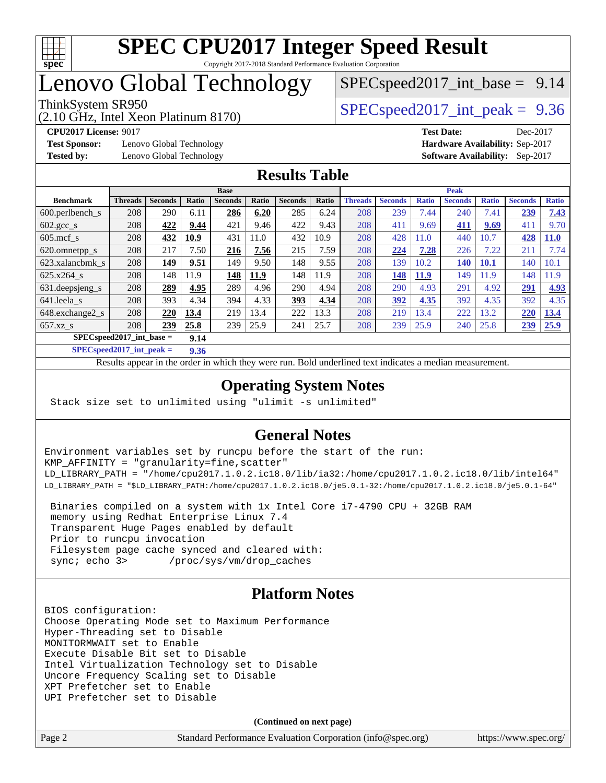

## Lenovo Global Technology

(2.10 GHz, Intel Xeon Platinum 8170)

ThinkSystem SR950<br>  $SPECspeed2017$  int\_peak = 9.36  $SPECspeed2017\_int\_base = 9.14$ 

**[Test Sponsor:](http://www.spec.org/auto/cpu2017/Docs/result-fields.html#TestSponsor)** Lenovo Global Technology **[Hardware Availability:](http://www.spec.org/auto/cpu2017/Docs/result-fields.html#HardwareAvailability)** Sep-2017

**[CPU2017 License:](http://www.spec.org/auto/cpu2017/Docs/result-fields.html#CPU2017License)** 9017 **[Test Date:](http://www.spec.org/auto/cpu2017/Docs/result-fields.html#TestDate)** Dec-2017

**[Tested by:](http://www.spec.org/auto/cpu2017/Docs/result-fields.html#Testedby)** Lenovo Global Technology **[Software Availability:](http://www.spec.org/auto/cpu2017/Docs/result-fields.html#SoftwareAvailability)** Sep-2017

#### **[Results Table](http://www.spec.org/auto/cpu2017/Docs/result-fields.html#ResultsTable)**

|                                    | <b>Base</b>    |                |       |                |       | <b>Peak</b>    |       |                |                |              |                |              |                |              |
|------------------------------------|----------------|----------------|-------|----------------|-------|----------------|-------|----------------|----------------|--------------|----------------|--------------|----------------|--------------|
| <b>Benchmark</b>                   | <b>Threads</b> | <b>Seconds</b> | Ratio | <b>Seconds</b> | Ratio | <b>Seconds</b> | Ratio | <b>Threads</b> | <b>Seconds</b> | <b>Ratio</b> | <b>Seconds</b> | <b>Ratio</b> | <b>Seconds</b> | <b>Ratio</b> |
| 600.perlbench_s                    | 208            | 290            | 6.11  | 286            | 6.20  | 285            | 6.24  | 208            | 239            | 7.44         | 240            | 7.41         | 239            | 7.43         |
| 602.gcc_s                          | 208            | 422            | 9.44  | 421            | 9.46  | 422            | 9.43  | 208            | 411            | 9.69         | 411            | 9.69         | 411            | 9.70         |
| $605$ .mcf s                       | 208            | 432            | 10.9  | 431            | 11.0  | 432            | 10.9  | 208            | 428            | 11.0         | 440            | 10.7         | 428            | <b>11.0</b>  |
| 620.omnetpp_s                      | 208            | 217            | 7.50  | 216            | 7.56  | 215            | 7.59  | 208            | 224            | 7.28         | 226            | 7.22         | 211            | 7.74         |
| 623.xalancbmk s                    | 208            | 149            | 9.51  | 149            | 9.50  | 148            | 9.55  | 208            | 139            | 10.2         | 140            | <b>10.1</b>  | 140            | 10.1         |
| 625.x264 s                         | 208            | 148            | 11.9  | 148            | 11.9  | 148            | 11.9  | 208            | 148            | <b>11.9</b>  | 149            | 1.9          | 148            | 11.9         |
| 631.deepsjeng_s                    | 208            | 289            | 4.95  | 289            | 4.96  | 290            | 4.94  | 208            | 290            | 4.93         | 291            | 4.92         | 291            | 4.93         |
| 641.leela_s                        | 208            | 393            | 4.34  | 394            | 4.33  | 393            | 4.34  | 208            | 392            | 4.35         | 392            | 4.35         | 392            | 4.35         |
| 648.exchange2 s                    | 208            | 220            | 13.4  | 219            | 13.4  | 222            | 13.3  | 208            | 219            | 13.4         | 222            | 13.2         | 220            | 13.4         |
| $657.xz$ s                         | 208            | 239            | 25.8  | 239            | 25.9  | 241            | 25.7  | 208            | 239            | 25.9         | 240            | 25.8         | 239            | 25.9         |
| $SPECspeed2017$ int base =<br>9.14 |                |                |       |                |       |                |       |                |                |              |                |              |                |              |

**[SPECspeed2017\\_int\\_peak =](http://www.spec.org/auto/cpu2017/Docs/result-fields.html#SPECspeed2017intpeak) 9.36**

Results appear in the [order in which they were run.](http://www.spec.org/auto/cpu2017/Docs/result-fields.html#RunOrder) Bold underlined text [indicates a median measurement](http://www.spec.org/auto/cpu2017/Docs/result-fields.html#Median).

#### **[Operating System Notes](http://www.spec.org/auto/cpu2017/Docs/result-fields.html#OperatingSystemNotes)**

Stack size set to unlimited using "ulimit -s unlimited"

#### **[General Notes](http://www.spec.org/auto/cpu2017/Docs/result-fields.html#GeneralNotes)**

Environment variables set by runcpu before the start of the run: KMP\_AFFINITY = "granularity=fine,scatter" LD\_LIBRARY\_PATH = "/home/cpu2017.1.0.2.ic18.0/lib/ia32:/home/cpu2017.1.0.2.ic18.0/lib/intel64" LD\_LIBRARY\_PATH = "\$LD\_LIBRARY\_PATH:/home/cpu2017.1.0.2.ic18.0/je5.0.1-32:/home/cpu2017.1.0.2.ic18.0/je5.0.1-64"

 Binaries compiled on a system with 1x Intel Core i7-4790 CPU + 32GB RAM memory using Redhat Enterprise Linux 7.4 Transparent Huge Pages enabled by default Prior to runcpu invocation Filesystem page cache synced and cleared with: sync; echo 3> /proc/sys/vm/drop\_caches

### **[Platform Notes](http://www.spec.org/auto/cpu2017/Docs/result-fields.html#PlatformNotes)**

BIOS configuration: Choose Operating Mode set to Maximum Performance Hyper-Threading set to Disable MONITORMWAIT set to Enable Execute Disable Bit set to Disable Intel Virtualization Technology set to Disable Uncore Frequency Scaling set to Disable XPT Prefetcher set to Enable UPI Prefetcher set to Disable

**(Continued on next page)**

| Page 2 | Standard Performance Evaluation Corporation (info@spec.org) | https://www.spec.org/ |
|--------|-------------------------------------------------------------|-----------------------|
|--------|-------------------------------------------------------------|-----------------------|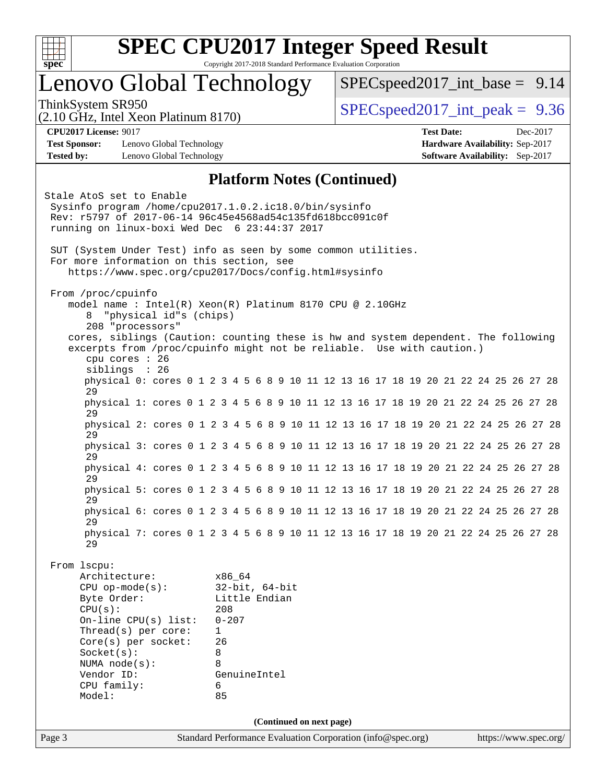

### Lenovo Global Technology

 $SPECspeed2017\_int\_base = 9.14$ 

(2.10 GHz, Intel Xeon Platinum 8170)

ThinkSystem SR950  $SPEC speed2017$  int peak = 9.36

**[Test Sponsor:](http://www.spec.org/auto/cpu2017/Docs/result-fields.html#TestSponsor)** Lenovo Global Technology **[Hardware Availability:](http://www.spec.org/auto/cpu2017/Docs/result-fields.html#HardwareAvailability)** Sep-2017 **[Tested by:](http://www.spec.org/auto/cpu2017/Docs/result-fields.html#Testedby)** Lenovo Global Technology **[Software Availability:](http://www.spec.org/auto/cpu2017/Docs/result-fields.html#SoftwareAvailability)** Sep-2017

**[CPU2017 License:](http://www.spec.org/auto/cpu2017/Docs/result-fields.html#CPU2017License)** 9017 **[Test Date:](http://www.spec.org/auto/cpu2017/Docs/result-fields.html#TestDate)** Dec-2017

#### **[Platform Notes \(Continued\)](http://www.spec.org/auto/cpu2017/Docs/result-fields.html#PlatformNotes)**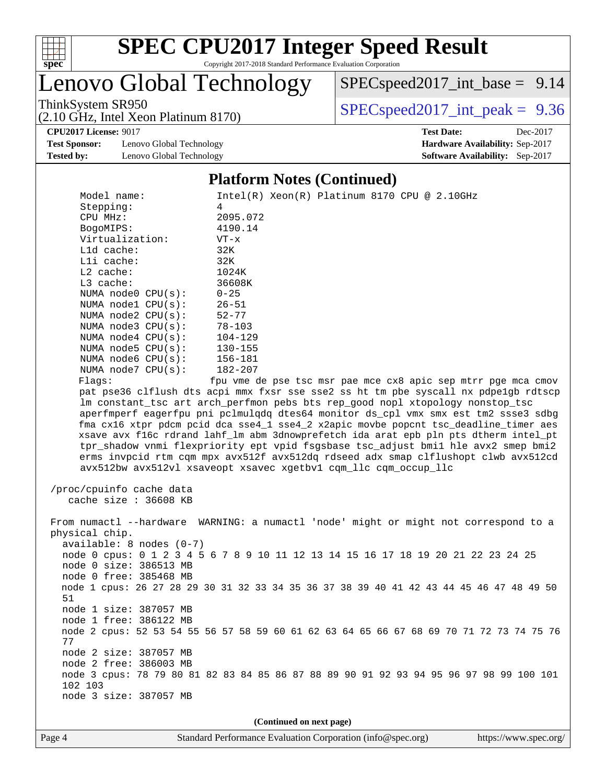

# **[SPEC CPU2017 Integer Speed Result](http://www.spec.org/auto/cpu2017/Docs/result-fields.html#SPECCPU2017IntegerSpeedResult)**

Copyright 2017-2018 Standard Performance Evaluation Corporation

Lenovo Global Technology

(2.10 GHz, Intel Xeon Platinum 8170)

[SPECspeed2017\\_int\\_base =](http://www.spec.org/auto/cpu2017/Docs/result-fields.html#SPECspeed2017intbase) 9.14

ThinkSystem SR950<br>  $(2.10 \text{ GHz. Intel Yoon Plitium } 8170)$  [SPECspeed2017\\_int\\_peak =](http://www.spec.org/auto/cpu2017/Docs/result-fields.html#SPECspeed2017intpeak) 9.36

**[CPU2017 License:](http://www.spec.org/auto/cpu2017/Docs/result-fields.html#CPU2017License)** 9017 **[Test Date:](http://www.spec.org/auto/cpu2017/Docs/result-fields.html#TestDate)** Dec-2017

**[Test Sponsor:](http://www.spec.org/auto/cpu2017/Docs/result-fields.html#TestSponsor)** Lenovo Global Technology **[Hardware Availability:](http://www.spec.org/auto/cpu2017/Docs/result-fields.html#HardwareAvailability)** Sep-2017 **[Tested by:](http://www.spec.org/auto/cpu2017/Docs/result-fields.html#Testedby)** Lenovo Global Technology **[Software Availability:](http://www.spec.org/auto/cpu2017/Docs/result-fields.html#SoftwareAvailability)** Sep-2017

#### **[Platform Notes \(Continued\)](http://www.spec.org/auto/cpu2017/Docs/result-fields.html#PlatformNotes)**

| Model name:                | $Intel(R)$ Xeon $(R)$ Platinum 8170 CPU @ 2.10GHz                                                                                                                   |  |  |  |  |  |  |  |
|----------------------------|---------------------------------------------------------------------------------------------------------------------------------------------------------------------|--|--|--|--|--|--|--|
| Stepping:                  | 4                                                                                                                                                                   |  |  |  |  |  |  |  |
| CPU MHz:                   | 2095.072                                                                                                                                                            |  |  |  |  |  |  |  |
| BogoMIPS:                  | 4190.14                                                                                                                                                             |  |  |  |  |  |  |  |
| Virtualization:            | $VT - x$                                                                                                                                                            |  |  |  |  |  |  |  |
| L1d cache:                 | 32K                                                                                                                                                                 |  |  |  |  |  |  |  |
| Lli cache:                 | 32K                                                                                                                                                                 |  |  |  |  |  |  |  |
| $L2$ cache:                | 1024K                                                                                                                                                               |  |  |  |  |  |  |  |
| L3 cache:                  | 36608K                                                                                                                                                              |  |  |  |  |  |  |  |
| NUMA node0 CPU(s):         | $0 - 25$                                                                                                                                                            |  |  |  |  |  |  |  |
| NUMA nodel CPU(s):         | $26 - 51$                                                                                                                                                           |  |  |  |  |  |  |  |
| NUMA node2 CPU(s):         | $52 - 77$                                                                                                                                                           |  |  |  |  |  |  |  |
| NUMA node3 CPU(s):         | $78 - 103$                                                                                                                                                          |  |  |  |  |  |  |  |
| NUMA $node4$ $CPU(s):$     | $104 - 129$                                                                                                                                                         |  |  |  |  |  |  |  |
| NUMA $node5$ $CPU(s):$     | 130-155                                                                                                                                                             |  |  |  |  |  |  |  |
| NUMA $node6$ $CPU(s)$ :    | 156-181                                                                                                                                                             |  |  |  |  |  |  |  |
| NUMA $node7$ CPU $(s)$ :   | 182-207                                                                                                                                                             |  |  |  |  |  |  |  |
| Flags:                     | fpu vme de pse tsc msr pae mce cx8 apic sep mtrr pge mca cmov                                                                                                       |  |  |  |  |  |  |  |
|                            | pat pse36 clflush dts acpi mmx fxsr sse sse2 ss ht tm pbe syscall nx pdpelgb rdtscp                                                                                 |  |  |  |  |  |  |  |
|                            | lm constant_tsc art arch_perfmon pebs bts rep_good nopl xtopology nonstop_tsc<br>aperfmperf eagerfpu pni pclmulqdq dtes64 monitor ds_cpl vmx smx est tm2 ssse3 sdbg |  |  |  |  |  |  |  |
|                            | fma cx16 xtpr pdcm pcid dca sse4_1 sse4_2 x2apic movbe popcnt tsc_deadline_timer aes                                                                                |  |  |  |  |  |  |  |
|                            | xsave avx f16c rdrand lahf_lm abm 3dnowprefetch ida arat epb pln pts dtherm intel_pt                                                                                |  |  |  |  |  |  |  |
|                            | tpr_shadow vnmi flexpriority ept vpid fsgsbase tsc_adjust bmil hle avx2 smep bmi2                                                                                   |  |  |  |  |  |  |  |
|                            | erms invpcid rtm cqm mpx avx512f avx512dq rdseed adx smap clflushopt clwb avx512cd                                                                                  |  |  |  |  |  |  |  |
|                            | avx512bw avx512vl xsaveopt xsavec xgetbvl cqm_llc cqm_occup_llc                                                                                                     |  |  |  |  |  |  |  |
|                            |                                                                                                                                                                     |  |  |  |  |  |  |  |
| /proc/cpuinfo cache data   |                                                                                                                                                                     |  |  |  |  |  |  |  |
| cache size : 36608 KB      |                                                                                                                                                                     |  |  |  |  |  |  |  |
|                            |                                                                                                                                                                     |  |  |  |  |  |  |  |
|                            | From numactl --hardware WARNING: a numactl 'node' might or might not correspond to a                                                                                |  |  |  |  |  |  |  |
| physical chip.             |                                                                                                                                                                     |  |  |  |  |  |  |  |
| $available: 8 nodes (0-7)$ |                                                                                                                                                                     |  |  |  |  |  |  |  |
|                            | node 0 cpus: 0 1 2 3 4 5 6 7 8 9 10 11 12 13 14 15 16 17 18 19 20 21 22 23 24 25                                                                                    |  |  |  |  |  |  |  |
| node 0 size: 386513 MB     |                                                                                                                                                                     |  |  |  |  |  |  |  |
| node 0 free: 385468 MB     |                                                                                                                                                                     |  |  |  |  |  |  |  |
|                            | node 1 cpus: 26 27 28 29 30 31 32 33 34 35 36 37 38 39 40 41 42 43 44 45 46 47 48 49 50                                                                             |  |  |  |  |  |  |  |
| 51                         |                                                                                                                                                                     |  |  |  |  |  |  |  |
| node 1 size: 387057 MB     |                                                                                                                                                                     |  |  |  |  |  |  |  |
| node 1 free: 386122 MB     |                                                                                                                                                                     |  |  |  |  |  |  |  |
|                            | node 2 cpus: 52 53 54 55 56 57 58 59 60 61 62 63 64 65 66 67 68 69 70 71 72 73 74 75 76                                                                             |  |  |  |  |  |  |  |
| 77                         |                                                                                                                                                                     |  |  |  |  |  |  |  |
| node 2 size: 387057 MB     |                                                                                                                                                                     |  |  |  |  |  |  |  |
| node 2 free: 386003 MB     |                                                                                                                                                                     |  |  |  |  |  |  |  |
|                            | node 3 cpus: 78 79 80 81 82 83 84 85 86 87 88 89 90 91 92 93 94 95 96 97 98 99 100 101                                                                              |  |  |  |  |  |  |  |
| 102 103                    |                                                                                                                                                                     |  |  |  |  |  |  |  |
| node 3 size: 387057 MB     |                                                                                                                                                                     |  |  |  |  |  |  |  |
|                            |                                                                                                                                                                     |  |  |  |  |  |  |  |
| (Continued on next page)   |                                                                                                                                                                     |  |  |  |  |  |  |  |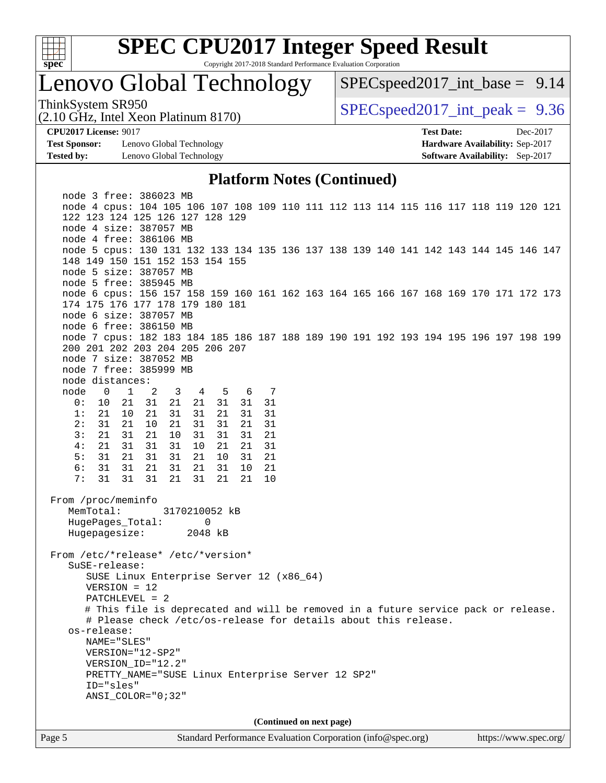

### Lenovo Global Technology

 $SPECspeed2017\_int\_base = 9.14$ 

(2.10 GHz, Intel Xeon Platinum 8170)

ThinkSystem SR950<br>  $SPECspeed2017$  int\_peak = 9.36

**[CPU2017 License:](http://www.spec.org/auto/cpu2017/Docs/result-fields.html#CPU2017License)** 9017 **[Test Date:](http://www.spec.org/auto/cpu2017/Docs/result-fields.html#TestDate)** Dec-2017

**[Test Sponsor:](http://www.spec.org/auto/cpu2017/Docs/result-fields.html#TestSponsor)** Lenovo Global Technology **[Hardware Availability:](http://www.spec.org/auto/cpu2017/Docs/result-fields.html#HardwareAvailability)** Sep-2017 **[Tested by:](http://www.spec.org/auto/cpu2017/Docs/result-fields.html#Testedby)** Lenovo Global Technology **[Software Availability:](http://www.spec.org/auto/cpu2017/Docs/result-fields.html#SoftwareAvailability)** Sep-2017

#### **[Platform Notes \(Continued\)](http://www.spec.org/auto/cpu2017/Docs/result-fields.html#PlatformNotes)**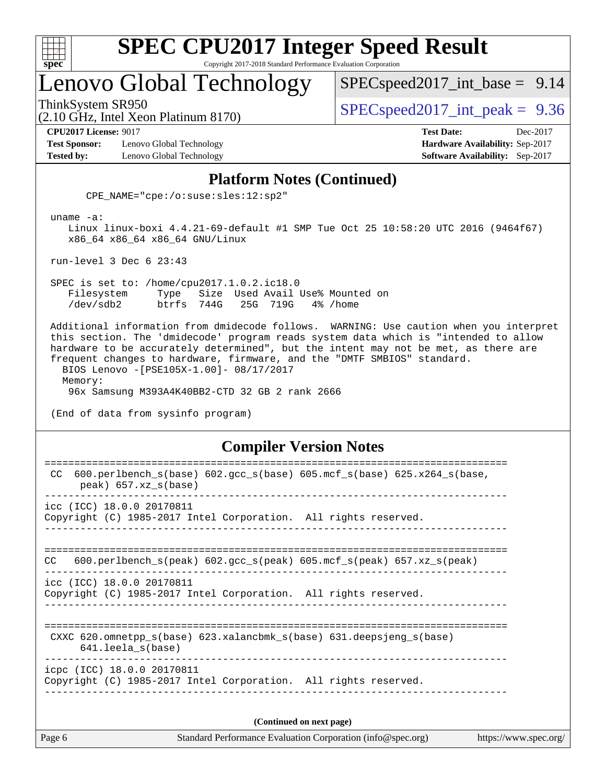

### Lenovo Global Technology

 $SPECspeed2017\_int\_base = 9.14$ 

(2.10 GHz, Intel Xeon Platinum 8170)

ThinkSystem SR950  $SPEC speed2017$  int peak = 9.36

**[CPU2017 License:](http://www.spec.org/auto/cpu2017/Docs/result-fields.html#CPU2017License)** 9017 **[Test Date:](http://www.spec.org/auto/cpu2017/Docs/result-fields.html#TestDate)** Dec-2017

**[Test Sponsor:](http://www.spec.org/auto/cpu2017/Docs/result-fields.html#TestSponsor)** Lenovo Global Technology **[Hardware Availability:](http://www.spec.org/auto/cpu2017/Docs/result-fields.html#HardwareAvailability)** Sep-2017 **[Tested by:](http://www.spec.org/auto/cpu2017/Docs/result-fields.html#Testedby)** Lenovo Global Technology **[Software Availability:](http://www.spec.org/auto/cpu2017/Docs/result-fields.html#SoftwareAvailability)** Sep-2017

### **[Platform Notes \(Continued\)](http://www.spec.org/auto/cpu2017/Docs/result-fields.html#PlatformNotes)**

CPE\_NAME="cpe:/o:suse:sles:12:sp2"

uname -a:

 Linux linux-boxi 4.4.21-69-default #1 SMP Tue Oct 25 10:58:20 UTC 2016 (9464f67) x86\_64 x86\_64 x86\_64 GNU/Linux

run-level 3 Dec 6 23:43

 SPEC is set to: /home/cpu2017.1.0.2.ic18.0 Filesystem Type Size Used Avail Use% Mounted on /dev/sdb2 btrfs 744G 25G 719G 4% /home

 Additional information from dmidecode follows. WARNING: Use caution when you interpret this section. The 'dmidecode' program reads system data which is "intended to allow hardware to be accurately determined", but the intent may not be met, as there are frequent changes to hardware, firmware, and the "DMTF SMBIOS" standard. BIOS Lenovo -[PSE105X-1.00]- 08/17/2017 Memory: 96x Samsung M393A4K40BB2-CTD 32 GB 2 rank 2666

(End of data from sysinfo program)

#### **[Compiler Version Notes](http://www.spec.org/auto/cpu2017/Docs/result-fields.html#CompilerVersionNotes)**

| Page 6 | Standard Performance Evaluation Corporation (info@spec.org)                                                                   | https://www.spec.org/ |
|--------|-------------------------------------------------------------------------------------------------------------------------------|-----------------------|
|        | (Continued on next page)                                                                                                      |                       |
|        | icpc (ICC) 18.0.0 20170811<br>Copyright (C) 1985-2017 Intel Corporation. All rights reserved.                                 |                       |
|        | ==========================<br>CXXC 620.omnetpp_s(base) 623.xalancbmk_s(base) 631.deepsjeng_s(base)<br>$641.$ leela $s$ (base) |                       |
|        | icc (ICC) 18.0.0 20170811<br>Copyright (C) 1985-2017 Intel Corporation. All rights reserved.                                  |                       |
| CC.    | $600. perlbench_s (peak) 602. gcc_s (peak) 605. mcf_s (peak) 657. xz_s (peak)$                                                |                       |
|        | icc (ICC) 18.0.0 20170811<br>Copyright (C) 1985-2017 Intel Corporation. All rights reserved.                                  |                       |
| CC.    | $600.perlbench_s(base) 602.gcc_s(base) 605.mcf_s(base) 625.x264_s(base,$<br>$peak)$ 657.xz $s(base)$                          |                       |
|        |                                                                                                                               |                       |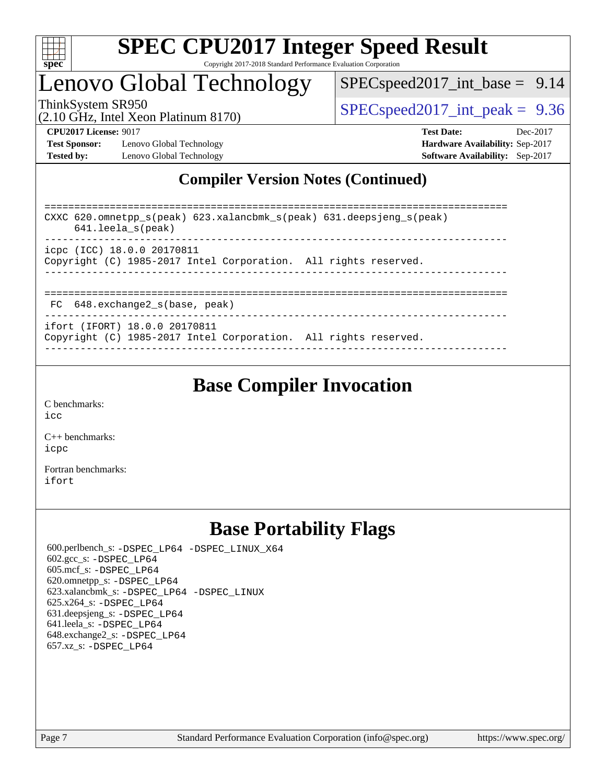

### Lenovo Global Technology

 $SPECspeed2017\_int\_base = 9.14$ 

(2.10 GHz, Intel Xeon Platinum 8170)

ThinkSystem SR950<br>  $SPECspeed2017$  int\_peak = 9.36

**[Test Sponsor:](http://www.spec.org/auto/cpu2017/Docs/result-fields.html#TestSponsor)** Lenovo Global Technology **[Hardware Availability:](http://www.spec.org/auto/cpu2017/Docs/result-fields.html#HardwareAvailability)** Sep-2017 **[Tested by:](http://www.spec.org/auto/cpu2017/Docs/result-fields.html#Testedby)** Lenovo Global Technology **[Software Availability:](http://www.spec.org/auto/cpu2017/Docs/result-fields.html#SoftwareAvailability)** Sep-2017

**[CPU2017 License:](http://www.spec.org/auto/cpu2017/Docs/result-fields.html#CPU2017License)** 9017 **[Test Date:](http://www.spec.org/auto/cpu2017/Docs/result-fields.html#TestDate)** Dec-2017

### **[Compiler Version Notes \(Continued\)](http://www.spec.org/auto/cpu2017/Docs/result-fields.html#CompilerVersionNotes)**

============================================================================== CXXC 620.omnetpp\_s(peak) 623.xalancbmk\_s(peak) 631.deepsjeng\_s(peak) 641.leela\_s(peak) ----------------------------------------------------------------------------- icpc (ICC) 18.0.0 20170811 Copyright (C) 1985-2017 Intel Corporation. All rights reserved. ------------------------------------------------------------------------------ ============================================================================== FC 648.exchange2\_s(base, peak) ----------------------------------------------------------------------------- ifort (IFORT) 18.0.0 20170811 Copyright (C) 1985-2017 Intel Corporation. All rights reserved.

------------------------------------------------------------------------------

### **[Base Compiler Invocation](http://www.spec.org/auto/cpu2017/Docs/result-fields.html#BaseCompilerInvocation)**

[C benchmarks](http://www.spec.org/auto/cpu2017/Docs/result-fields.html#Cbenchmarks): [icc](http://www.spec.org/cpu2017/results/res2017q4/cpu2017-20171211-01461.flags.html#user_CCbase_intel_icc_18.0_66fc1ee009f7361af1fbd72ca7dcefbb700085f36577c54f309893dd4ec40d12360134090235512931783d35fd58c0460139e722d5067c5574d8eaf2b3e37e92)

[C++ benchmarks:](http://www.spec.org/auto/cpu2017/Docs/result-fields.html#CXXbenchmarks) [icpc](http://www.spec.org/cpu2017/results/res2017q4/cpu2017-20171211-01461.flags.html#user_CXXbase_intel_icpc_18.0_c510b6838c7f56d33e37e94d029a35b4a7bccf4766a728ee175e80a419847e808290a9b78be685c44ab727ea267ec2f070ec5dc83b407c0218cded6866a35d07)

[Fortran benchmarks](http://www.spec.org/auto/cpu2017/Docs/result-fields.html#Fortranbenchmarks): [ifort](http://www.spec.org/cpu2017/results/res2017q4/cpu2017-20171211-01461.flags.html#user_FCbase_intel_ifort_18.0_8111460550e3ca792625aed983ce982f94888b8b503583aa7ba2b8303487b4d8a21a13e7191a45c5fd58ff318f48f9492884d4413fa793fd88dd292cad7027ca)

### **[Base Portability Flags](http://www.spec.org/auto/cpu2017/Docs/result-fields.html#BasePortabilityFlags)**

 600.perlbench\_s: [-DSPEC\\_LP64](http://www.spec.org/cpu2017/results/res2017q4/cpu2017-20171211-01461.flags.html#b600.perlbench_s_basePORTABILITY_DSPEC_LP64) [-DSPEC\\_LINUX\\_X64](http://www.spec.org/cpu2017/results/res2017q4/cpu2017-20171211-01461.flags.html#b600.perlbench_s_baseCPORTABILITY_DSPEC_LINUX_X64) 602.gcc\_s: [-DSPEC\\_LP64](http://www.spec.org/cpu2017/results/res2017q4/cpu2017-20171211-01461.flags.html#suite_basePORTABILITY602_gcc_s_DSPEC_LP64) 605.mcf\_s: [-DSPEC\\_LP64](http://www.spec.org/cpu2017/results/res2017q4/cpu2017-20171211-01461.flags.html#suite_basePORTABILITY605_mcf_s_DSPEC_LP64) 620.omnetpp\_s: [-DSPEC\\_LP64](http://www.spec.org/cpu2017/results/res2017q4/cpu2017-20171211-01461.flags.html#suite_basePORTABILITY620_omnetpp_s_DSPEC_LP64) 623.xalancbmk\_s: [-DSPEC\\_LP64](http://www.spec.org/cpu2017/results/res2017q4/cpu2017-20171211-01461.flags.html#suite_basePORTABILITY623_xalancbmk_s_DSPEC_LP64) [-DSPEC\\_LINUX](http://www.spec.org/cpu2017/results/res2017q4/cpu2017-20171211-01461.flags.html#b623.xalancbmk_s_baseCXXPORTABILITY_DSPEC_LINUX) 625.x264\_s: [-DSPEC\\_LP64](http://www.spec.org/cpu2017/results/res2017q4/cpu2017-20171211-01461.flags.html#suite_basePORTABILITY625_x264_s_DSPEC_LP64) 631.deepsjeng\_s: [-DSPEC\\_LP64](http://www.spec.org/cpu2017/results/res2017q4/cpu2017-20171211-01461.flags.html#suite_basePORTABILITY631_deepsjeng_s_DSPEC_LP64) 641.leela\_s: [-DSPEC\\_LP64](http://www.spec.org/cpu2017/results/res2017q4/cpu2017-20171211-01461.flags.html#suite_basePORTABILITY641_leela_s_DSPEC_LP64) 648.exchange2\_s: [-DSPEC\\_LP64](http://www.spec.org/cpu2017/results/res2017q4/cpu2017-20171211-01461.flags.html#suite_basePORTABILITY648_exchange2_s_DSPEC_LP64) 657.xz\_s: [-DSPEC\\_LP64](http://www.spec.org/cpu2017/results/res2017q4/cpu2017-20171211-01461.flags.html#suite_basePORTABILITY657_xz_s_DSPEC_LP64)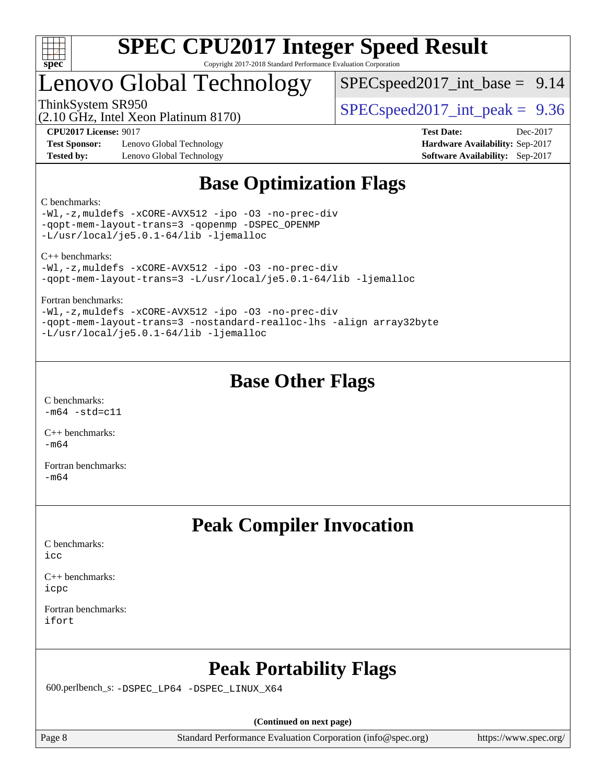

### Lenovo Global Technology

 $SPECspeed2017\_int\_base = 9.14$ 

(2.10 GHz, Intel Xeon Platinum 8170)

ThinkSystem SR950<br>  $SPECspeed2017$  int\_peak = 9.36

**[Test Sponsor:](http://www.spec.org/auto/cpu2017/Docs/result-fields.html#TestSponsor)** Lenovo Global Technology **[Hardware Availability:](http://www.spec.org/auto/cpu2017/Docs/result-fields.html#HardwareAvailability)** Sep-2017 **[Tested by:](http://www.spec.org/auto/cpu2017/Docs/result-fields.html#Testedby)** Lenovo Global Technology **[Software Availability:](http://www.spec.org/auto/cpu2017/Docs/result-fields.html#SoftwareAvailability)** Sep-2017

**[CPU2017 License:](http://www.spec.org/auto/cpu2017/Docs/result-fields.html#CPU2017License)** 9017 **[Test Date:](http://www.spec.org/auto/cpu2017/Docs/result-fields.html#TestDate)** Dec-2017

### **[Base Optimization Flags](http://www.spec.org/auto/cpu2017/Docs/result-fields.html#BaseOptimizationFlags)**

[C benchmarks](http://www.spec.org/auto/cpu2017/Docs/result-fields.html#Cbenchmarks):

[-Wl,-z,muldefs](http://www.spec.org/cpu2017/results/res2017q4/cpu2017-20171211-01461.flags.html#user_CCbase_link_force_multiple1_b4cbdb97b34bdee9ceefcfe54f4c8ea74255f0b02a4b23e853cdb0e18eb4525ac79b5a88067c842dd0ee6996c24547a27a4b99331201badda8798ef8a743f577) [-xCORE-AVX512](http://www.spec.org/cpu2017/results/res2017q4/cpu2017-20171211-01461.flags.html#user_CCbase_f-xCORE-AVX512) [-ipo](http://www.spec.org/cpu2017/results/res2017q4/cpu2017-20171211-01461.flags.html#user_CCbase_f-ipo) [-O3](http://www.spec.org/cpu2017/results/res2017q4/cpu2017-20171211-01461.flags.html#user_CCbase_f-O3) [-no-prec-div](http://www.spec.org/cpu2017/results/res2017q4/cpu2017-20171211-01461.flags.html#user_CCbase_f-no-prec-div) [-qopt-mem-layout-trans=3](http://www.spec.org/cpu2017/results/res2017q4/cpu2017-20171211-01461.flags.html#user_CCbase_f-qopt-mem-layout-trans_de80db37974c74b1f0e20d883f0b675c88c3b01e9d123adea9b28688d64333345fb62bc4a798493513fdb68f60282f9a726aa07f478b2f7113531aecce732043) [-qopenmp](http://www.spec.org/cpu2017/results/res2017q4/cpu2017-20171211-01461.flags.html#user_CCbase_qopenmp_16be0c44f24f464004c6784a7acb94aca937f053568ce72f94b139a11c7c168634a55f6653758ddd83bcf7b8463e8028bb0b48b77bcddc6b78d5d95bb1df2967) [-DSPEC\\_OPENMP](http://www.spec.org/cpu2017/results/res2017q4/cpu2017-20171211-01461.flags.html#suite_CCbase_DSPEC_OPENMP) [-L/usr/local/je5.0.1-64/lib](http://www.spec.org/cpu2017/results/res2017q4/cpu2017-20171211-01461.flags.html#user_CCbase_jemalloc_link_path64_4b10a636b7bce113509b17f3bd0d6226c5fb2346b9178c2d0232c14f04ab830f976640479e5c33dc2bcbbdad86ecfb6634cbbd4418746f06f368b512fced5394) [-ljemalloc](http://www.spec.org/cpu2017/results/res2017q4/cpu2017-20171211-01461.flags.html#user_CCbase_jemalloc_link_lib_d1249b907c500fa1c0672f44f562e3d0f79738ae9e3c4a9c376d49f265a04b9c99b167ecedbf6711b3085be911c67ff61f150a17b3472be731631ba4d0471706)

[C++ benchmarks](http://www.spec.org/auto/cpu2017/Docs/result-fields.html#CXXbenchmarks):

[-Wl,-z,muldefs](http://www.spec.org/cpu2017/results/res2017q4/cpu2017-20171211-01461.flags.html#user_CXXbase_link_force_multiple1_b4cbdb97b34bdee9ceefcfe54f4c8ea74255f0b02a4b23e853cdb0e18eb4525ac79b5a88067c842dd0ee6996c24547a27a4b99331201badda8798ef8a743f577) [-xCORE-AVX512](http://www.spec.org/cpu2017/results/res2017q4/cpu2017-20171211-01461.flags.html#user_CXXbase_f-xCORE-AVX512) [-ipo](http://www.spec.org/cpu2017/results/res2017q4/cpu2017-20171211-01461.flags.html#user_CXXbase_f-ipo) [-O3](http://www.spec.org/cpu2017/results/res2017q4/cpu2017-20171211-01461.flags.html#user_CXXbase_f-O3) [-no-prec-div](http://www.spec.org/cpu2017/results/res2017q4/cpu2017-20171211-01461.flags.html#user_CXXbase_f-no-prec-div) [-qopt-mem-layout-trans=3](http://www.spec.org/cpu2017/results/res2017q4/cpu2017-20171211-01461.flags.html#user_CXXbase_f-qopt-mem-layout-trans_de80db37974c74b1f0e20d883f0b675c88c3b01e9d123adea9b28688d64333345fb62bc4a798493513fdb68f60282f9a726aa07f478b2f7113531aecce732043) [-L/usr/local/je5.0.1-64/lib](http://www.spec.org/cpu2017/results/res2017q4/cpu2017-20171211-01461.flags.html#user_CXXbase_jemalloc_link_path64_4b10a636b7bce113509b17f3bd0d6226c5fb2346b9178c2d0232c14f04ab830f976640479e5c33dc2bcbbdad86ecfb6634cbbd4418746f06f368b512fced5394) [-ljemalloc](http://www.spec.org/cpu2017/results/res2017q4/cpu2017-20171211-01461.flags.html#user_CXXbase_jemalloc_link_lib_d1249b907c500fa1c0672f44f562e3d0f79738ae9e3c4a9c376d49f265a04b9c99b167ecedbf6711b3085be911c67ff61f150a17b3472be731631ba4d0471706)

[Fortran benchmarks:](http://www.spec.org/auto/cpu2017/Docs/result-fields.html#Fortranbenchmarks)

[-Wl,-z,muldefs](http://www.spec.org/cpu2017/results/res2017q4/cpu2017-20171211-01461.flags.html#user_FCbase_link_force_multiple1_b4cbdb97b34bdee9ceefcfe54f4c8ea74255f0b02a4b23e853cdb0e18eb4525ac79b5a88067c842dd0ee6996c24547a27a4b99331201badda8798ef8a743f577) [-xCORE-AVX512](http://www.spec.org/cpu2017/results/res2017q4/cpu2017-20171211-01461.flags.html#user_FCbase_f-xCORE-AVX512) [-ipo](http://www.spec.org/cpu2017/results/res2017q4/cpu2017-20171211-01461.flags.html#user_FCbase_f-ipo) [-O3](http://www.spec.org/cpu2017/results/res2017q4/cpu2017-20171211-01461.flags.html#user_FCbase_f-O3) [-no-prec-div](http://www.spec.org/cpu2017/results/res2017q4/cpu2017-20171211-01461.flags.html#user_FCbase_f-no-prec-div) [-qopt-mem-layout-trans=3](http://www.spec.org/cpu2017/results/res2017q4/cpu2017-20171211-01461.flags.html#user_FCbase_f-qopt-mem-layout-trans_de80db37974c74b1f0e20d883f0b675c88c3b01e9d123adea9b28688d64333345fb62bc4a798493513fdb68f60282f9a726aa07f478b2f7113531aecce732043) [-nostandard-realloc-lhs](http://www.spec.org/cpu2017/results/res2017q4/cpu2017-20171211-01461.flags.html#user_FCbase_f_2003_std_realloc_82b4557e90729c0f113870c07e44d33d6f5a304b4f63d4c15d2d0f1fab99f5daaed73bdb9275d9ae411527f28b936061aa8b9c8f2d63842963b95c9dd6426b8a) [-align array32byte](http://www.spec.org/cpu2017/results/res2017q4/cpu2017-20171211-01461.flags.html#user_FCbase_align_array32byte_b982fe038af199962ba9a80c053b8342c548c85b40b8e86eb3cc33dee0d7986a4af373ac2d51c3f7cf710a18d62fdce2948f201cd044323541f22fc0fffc51b6) [-L/usr/local/je5.0.1-64/lib](http://www.spec.org/cpu2017/results/res2017q4/cpu2017-20171211-01461.flags.html#user_FCbase_jemalloc_link_path64_4b10a636b7bce113509b17f3bd0d6226c5fb2346b9178c2d0232c14f04ab830f976640479e5c33dc2bcbbdad86ecfb6634cbbd4418746f06f368b512fced5394) [-ljemalloc](http://www.spec.org/cpu2017/results/res2017q4/cpu2017-20171211-01461.flags.html#user_FCbase_jemalloc_link_lib_d1249b907c500fa1c0672f44f562e3d0f79738ae9e3c4a9c376d49f265a04b9c99b167ecedbf6711b3085be911c67ff61f150a17b3472be731631ba4d0471706)

### **[Base Other Flags](http://www.spec.org/auto/cpu2017/Docs/result-fields.html#BaseOtherFlags)**

[C benchmarks](http://www.spec.org/auto/cpu2017/Docs/result-fields.html#Cbenchmarks):  $-m64$   $-std=cl1$ 

[C++ benchmarks:](http://www.spec.org/auto/cpu2017/Docs/result-fields.html#CXXbenchmarks)  $-m64$ 

[Fortran benchmarks](http://www.spec.org/auto/cpu2017/Docs/result-fields.html#Fortranbenchmarks): [-m64](http://www.spec.org/cpu2017/results/res2017q4/cpu2017-20171211-01461.flags.html#user_FCbase_intel_intel64_18.0_af43caccfc8ded86e7699f2159af6efc7655f51387b94da716254467f3c01020a5059329e2569e4053f409e7c9202a7efc638f7a6d1ffb3f52dea4a3e31d82ab)

### **[Peak Compiler Invocation](http://www.spec.org/auto/cpu2017/Docs/result-fields.html#PeakCompilerInvocation)**

[C benchmarks](http://www.spec.org/auto/cpu2017/Docs/result-fields.html#Cbenchmarks): [icc](http://www.spec.org/cpu2017/results/res2017q4/cpu2017-20171211-01461.flags.html#user_CCpeak_intel_icc_18.0_66fc1ee009f7361af1fbd72ca7dcefbb700085f36577c54f309893dd4ec40d12360134090235512931783d35fd58c0460139e722d5067c5574d8eaf2b3e37e92)

[C++ benchmarks:](http://www.spec.org/auto/cpu2017/Docs/result-fields.html#CXXbenchmarks) [icpc](http://www.spec.org/cpu2017/results/res2017q4/cpu2017-20171211-01461.flags.html#user_CXXpeak_intel_icpc_18.0_c510b6838c7f56d33e37e94d029a35b4a7bccf4766a728ee175e80a419847e808290a9b78be685c44ab727ea267ec2f070ec5dc83b407c0218cded6866a35d07)

[Fortran benchmarks](http://www.spec.org/auto/cpu2017/Docs/result-fields.html#Fortranbenchmarks): [ifort](http://www.spec.org/cpu2017/results/res2017q4/cpu2017-20171211-01461.flags.html#user_FCpeak_intel_ifort_18.0_8111460550e3ca792625aed983ce982f94888b8b503583aa7ba2b8303487b4d8a21a13e7191a45c5fd58ff318f48f9492884d4413fa793fd88dd292cad7027ca)

## **[Peak Portability Flags](http://www.spec.org/auto/cpu2017/Docs/result-fields.html#PeakPortabilityFlags)**

600.perlbench\_s: [-DSPEC\\_LP64](http://www.spec.org/cpu2017/results/res2017q4/cpu2017-20171211-01461.flags.html#b600.perlbench_s_peakPORTABILITY_DSPEC_LP64) [-DSPEC\\_LINUX\\_X64](http://www.spec.org/cpu2017/results/res2017q4/cpu2017-20171211-01461.flags.html#b600.perlbench_s_peakCPORTABILITY_DSPEC_LINUX_X64)

**(Continued on next page)**

Page 8 Standard Performance Evaluation Corporation [\(info@spec.org\)](mailto:info@spec.org) <https://www.spec.org/>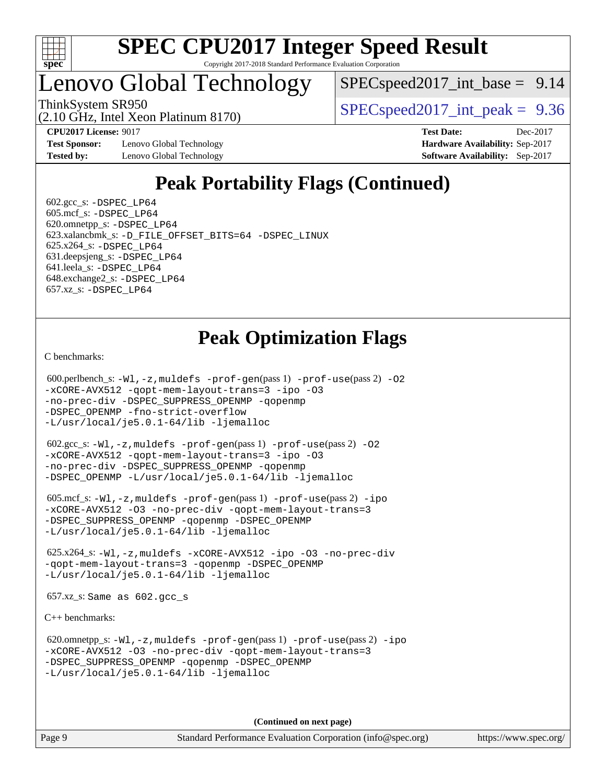

### Lenovo Global Technology

(2.10 GHz, Intel Xeon Platinum 8170)

 $SPEC speed2017\_int\_base = 9.14$ 

ThinkSystem SR950  $SPEC speed2017$  int peak = 9.36

**[Test Sponsor:](http://www.spec.org/auto/cpu2017/Docs/result-fields.html#TestSponsor)** Lenovo Global Technology **[Hardware Availability:](http://www.spec.org/auto/cpu2017/Docs/result-fields.html#HardwareAvailability)** Sep-2017 **[Tested by:](http://www.spec.org/auto/cpu2017/Docs/result-fields.html#Testedby)** Lenovo Global Technology **[Software Availability:](http://www.spec.org/auto/cpu2017/Docs/result-fields.html#SoftwareAvailability)** Sep-2017

**[CPU2017 License:](http://www.spec.org/auto/cpu2017/Docs/result-fields.html#CPU2017License)** 9017 **[Test Date:](http://www.spec.org/auto/cpu2017/Docs/result-fields.html#TestDate)** Dec-2017

### **[Peak Portability Flags \(Continued\)](http://www.spec.org/auto/cpu2017/Docs/result-fields.html#PeakPortabilityFlags)**

 $602.\text{gcc}\$ : -DSPEC LP64 605.mcf\_s: [-DSPEC\\_LP64](http://www.spec.org/cpu2017/results/res2017q4/cpu2017-20171211-01461.flags.html#suite_peakPORTABILITY605_mcf_s_DSPEC_LP64) 620.omnetpp\_s: [-DSPEC\\_LP64](http://www.spec.org/cpu2017/results/res2017q4/cpu2017-20171211-01461.flags.html#suite_peakPORTABILITY620_omnetpp_s_DSPEC_LP64) 623.xalancbmk\_s: [-D\\_FILE\\_OFFSET\\_BITS=64](http://www.spec.org/cpu2017/results/res2017q4/cpu2017-20171211-01461.flags.html#user_peakPORTABILITY623_xalancbmk_s_file_offset_bits_64_5ae949a99b284ddf4e95728d47cb0843d81b2eb0e18bdfe74bbf0f61d0b064f4bda2f10ea5eb90e1dcab0e84dbc592acfc5018bc955c18609f94ddb8d550002c) [-DSPEC\\_LINUX](http://www.spec.org/cpu2017/results/res2017q4/cpu2017-20171211-01461.flags.html#b623.xalancbmk_s_peakCXXPORTABILITY_DSPEC_LINUX) 625.x264\_s: [-DSPEC\\_LP64](http://www.spec.org/cpu2017/results/res2017q4/cpu2017-20171211-01461.flags.html#suite_peakPORTABILITY625_x264_s_DSPEC_LP64) 631.deepsjeng\_s: [-DSPEC\\_LP64](http://www.spec.org/cpu2017/results/res2017q4/cpu2017-20171211-01461.flags.html#suite_peakPORTABILITY631_deepsjeng_s_DSPEC_LP64) 641.leela\_s: [-DSPEC\\_LP64](http://www.spec.org/cpu2017/results/res2017q4/cpu2017-20171211-01461.flags.html#suite_peakPORTABILITY641_leela_s_DSPEC_LP64) 648.exchange2\_s: [-DSPEC\\_LP64](http://www.spec.org/cpu2017/results/res2017q4/cpu2017-20171211-01461.flags.html#suite_peakPORTABILITY648_exchange2_s_DSPEC_LP64) 657.xz\_s: [-DSPEC\\_LP64](http://www.spec.org/cpu2017/results/res2017q4/cpu2017-20171211-01461.flags.html#suite_peakPORTABILITY657_xz_s_DSPEC_LP64)

### **[Peak Optimization Flags](http://www.spec.org/auto/cpu2017/Docs/result-fields.html#PeakOptimizationFlags)**

[C benchmarks](http://www.spec.org/auto/cpu2017/Docs/result-fields.html#Cbenchmarks):

```
 600.perlbench_s: -Wl,-z,muldefs -prof-gen(pass 1) -prof-use(pass 2) -O2
-xCORE-AVX512 -qopt-mem-layout-trans=3 -ipo -O3
-no-prec-div -DSPEC_SUPPRESS_OPENMP -qopenmp
-DSPEC_OPENMP -fno-strict-overflow
-L/usr/local/je5.0.1-64/lib -ljemalloc
 602.gcc_s: -Wl,-z,muldefs -prof-gen(pass 1) -prof-use(pass 2) -O2
```

```
-xCORE-AVX512 -qopt-mem-layout-trans=3 -ipo -O3
-no-prec-div -DSPEC_SUPPRESS_OPENMP -qopenmp
-DSPEC_OPENMP -L/usr/local/je5.0.1-64/lib -ljemalloc
```

```
 605.mcf_s: -Wl,-z,muldefs -prof-gen(pass 1) -prof-use(pass 2) -ipo
-xCORE-AVX512 -O3 -no-prec-div -qopt-mem-layout-trans=3
-DSPEC_SUPPRESS_OPENMP -qopenmp -DSPEC_OPENMP
-L/usr/local/je5.0.1-64/lib -ljemalloc
```

```
 625.x264_s: -Wl,-z,muldefs -xCORE-AVX512 -ipo -O3 -no-prec-div
-qopt-mem-layout-trans=3 -qopenmp -DSPEC_OPENMP
-L/usr/local/je5.0.1-64/lib -ljemalloc
```
657.xz\_s: Same as 602.gcc\_s

[C++ benchmarks:](http://www.spec.org/auto/cpu2017/Docs/result-fields.html#CXXbenchmarks)

```
 620.omnetpp_s: -Wl,-z,muldefs -prof-gen(pass 1) -prof-use(pass 2) -ipo
-xCORE-AVX512 -O3 -no-prec-div -qopt-mem-layout-trans=3
-DSPEC_SUPPRESS_OPENMP -qopenmp -DSPEC_OPENMP
-L/usr/local/je5.0.1-64/lib -ljemalloc
```
**(Continued on next page)**